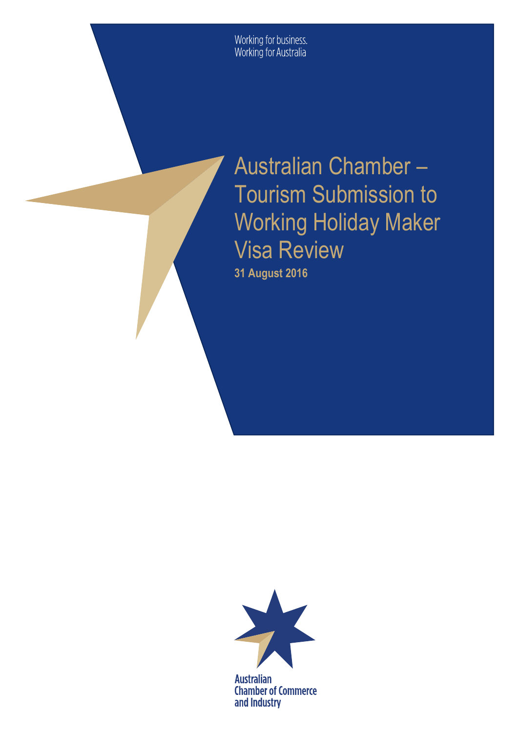Working for business.<br>Working for Australia

Australian Chamber – Tourism Submission to Working Holiday Maker Visa Review

**31 August 2016**



**Australian Chamber of Commerce** and Industry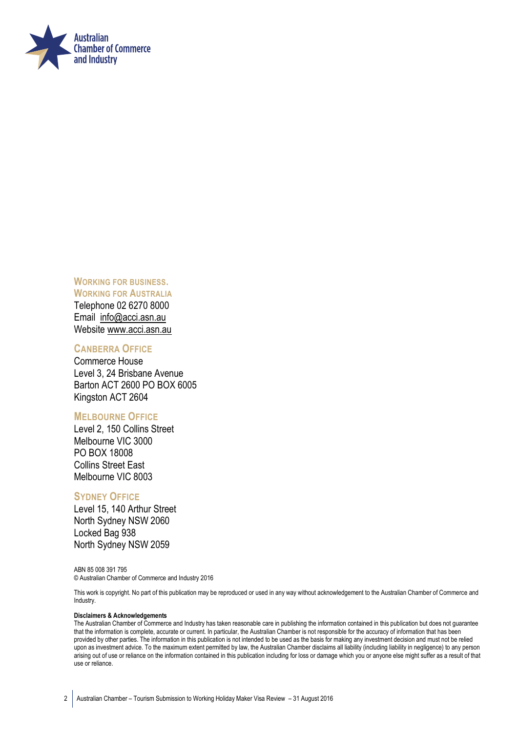

**WORKING FOR BUSINESS. WORKING FOR AUSTRALIA**  Telephone 02 6270 8000 Email [info@acci.asn.au](mailto:info@acci.asn.au) Website [www.acci.asn.au](http://www.acci.asn.au/)

#### **CANBERRA OFFICE**

Commerce House Level 3, 24 Brisbane Avenue Barton ACT 2600 PO BOX 6005 Kingston ACT 2604

#### **MELBOURNE OFFICE**

Level 2, 150 Collins Street Melbourne VIC 3000 PO BOX 18008 Collins Street East Melbourne VIC 8003

#### **SYDNEY OFFICE**

Level 15, 140 Arthur Street North Sydney NSW 2060 Locked Bag 938 North Sydney NSW 2059

ABN 85 008 391 795 © Australian Chamber of Commerce and Industry 2016

This work is copyright. No part of this publication may be reproduced or used in any way without acknowledgement to the Australian Chamber of Commerce and Industry.

#### **Disclaimers & Acknowledgements**

The Australian Chamber of Commerce and Industry has taken reasonable care in publishing the information contained in this publication but does not guarantee that the information is complete, accurate or current. In particular, the Australian Chamber is not responsible for the accuracy of information that has been provided by other parties. The information in this publication is not intended to be used as the basis for making any investment decision and must not be relied upon as investment advice. To the maximum extent permitted by law, the Australian Chamber disclaims all liability (including liability in negligence) to any person arising out of use or reliance on the information contained in this publication including for loss or damage which you or anyone else might suffer as a result of that use or reliance.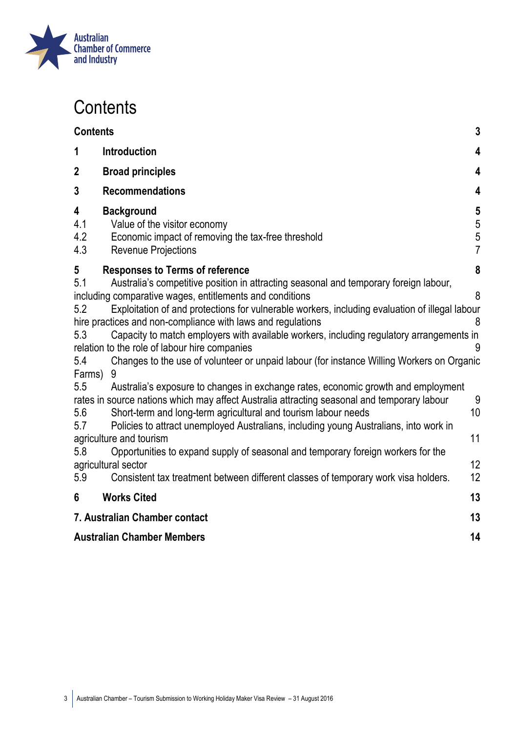

## <span id="page-2-0"></span>**Contents**

| <b>Contents</b>                                  |                                                                                                                                                                                                                                                                                                                                                                                                                                                                                                                                                                                                                                                                                                                                                                                                                         | 3                                                                     |
|--------------------------------------------------|-------------------------------------------------------------------------------------------------------------------------------------------------------------------------------------------------------------------------------------------------------------------------------------------------------------------------------------------------------------------------------------------------------------------------------------------------------------------------------------------------------------------------------------------------------------------------------------------------------------------------------------------------------------------------------------------------------------------------------------------------------------------------------------------------------------------------|-----------------------------------------------------------------------|
| 1                                                | <b>Introduction</b>                                                                                                                                                                                                                                                                                                                                                                                                                                                                                                                                                                                                                                                                                                                                                                                                     | $\overline{\mathbf{4}}$                                               |
| $\mathbf 2$                                      | <b>Broad principles</b>                                                                                                                                                                                                                                                                                                                                                                                                                                                                                                                                                                                                                                                                                                                                                                                                 | 4                                                                     |
| 3                                                | <b>Recommendations</b>                                                                                                                                                                                                                                                                                                                                                                                                                                                                                                                                                                                                                                                                                                                                                                                                  | 4                                                                     |
| 4<br>4.1<br>4.2<br>4.3                           | <b>Background</b><br>Value of the visitor economy<br>Economic impact of removing the tax-free threshold<br><b>Revenue Projections</b>                                                                                                                                                                                                                                                                                                                                                                                                                                                                                                                                                                                                                                                                                   | $\overline{\mathbf{5}}$<br>$\begin{array}{c} 5 \\ 5 \\ 7 \end{array}$ |
| 5                                                | <b>Responses to Terms of reference</b>                                                                                                                                                                                                                                                                                                                                                                                                                                                                                                                                                                                                                                                                                                                                                                                  | 8                                                                     |
| 5.1<br>5.2<br>5.3<br>5.4<br>Farms)<br>5.5<br>5.6 | Australia's competitive position in attracting seasonal and temporary foreign labour,<br>including comparative wages, entitlements and conditions<br>Exploitation of and protections for vulnerable workers, including evaluation of illegal labour<br>hire practices and non-compliance with laws and regulations<br>Capacity to match employers with available workers, including regulatory arrangements in<br>relation to the role of labour hire companies<br>Changes to the use of volunteer or unpaid labour (for instance Willing Workers on Organic<br>9<br>Australia's exposure to changes in exchange rates, economic growth and employment<br>rates in source nations which may affect Australia attracting seasonal and temporary labour<br>Short-term and long-term agricultural and tourism labour needs | 8<br>8<br>9<br>10                                                     |
| 5.7                                              | Policies to attract unemployed Australians, including young Australians, into work in                                                                                                                                                                                                                                                                                                                                                                                                                                                                                                                                                                                                                                                                                                                                   |                                                                       |
|                                                  | agriculture and tourism                                                                                                                                                                                                                                                                                                                                                                                                                                                                                                                                                                                                                                                                                                                                                                                                 | 11                                                                    |
| 5.8                                              | Opportunities to expand supply of seasonal and temporary foreign workers for the<br>agricultural sector                                                                                                                                                                                                                                                                                                                                                                                                                                                                                                                                                                                                                                                                                                                 | 12                                                                    |
| 5.9                                              | Consistent tax treatment between different classes of temporary work visa holders.                                                                                                                                                                                                                                                                                                                                                                                                                                                                                                                                                                                                                                                                                                                                      | 12                                                                    |
| 6                                                | <b>Works Cited</b>                                                                                                                                                                                                                                                                                                                                                                                                                                                                                                                                                                                                                                                                                                                                                                                                      | 13                                                                    |
| 7. Australian Chamber contact                    |                                                                                                                                                                                                                                                                                                                                                                                                                                                                                                                                                                                                                                                                                                                                                                                                                         | 13                                                                    |
| <b>Australian Chamber Members</b>                |                                                                                                                                                                                                                                                                                                                                                                                                                                                                                                                                                                                                                                                                                                                                                                                                                         | 14                                                                    |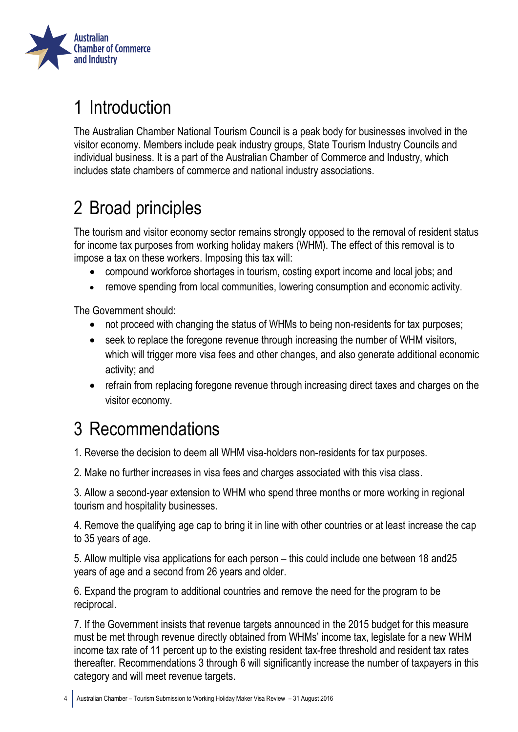

# <span id="page-3-0"></span>1 Introduction

The Australian Chamber National Tourism Council is a peak body for businesses involved in the visitor economy. Members include peak industry groups, State Tourism Industry Councils and individual business. It is a part of the Australian Chamber of Commerce and Industry, which includes state chambers of commerce and national industry associations.

# <span id="page-3-1"></span>2 Broad principles

The tourism and visitor economy sector remains strongly opposed to the removal of resident status for income tax purposes from working holiday makers (WHM). The effect of this removal is to impose a tax on these workers. Imposing this tax will:

- compound workforce shortages in tourism, costing export income and local jobs; and
- remove spending from local communities, lowering consumption and economic activity.

The Government should:

- not proceed with changing the status of WHMs to being non-residents for tax purposes;
- seek to replace the foregone revenue through increasing the number of WHM visitors, which will trigger more visa fees and other changes, and also generate additional economic activity; and
- refrain from replacing foregone revenue through increasing direct taxes and charges on the visitor economy.

## <span id="page-3-2"></span>3 Recommendations

1. Reverse the decision to deem all WHM visa-holders non-residents for tax purposes.

2. Make no further increases in visa fees and charges associated with this visa class.

3. Allow a second-year extension to WHM who spend three months or more working in regional tourism and hospitality businesses.

4. Remove the qualifying age cap to bring it in line with other countries or at least increase the cap to 35 years of age.

5. Allow multiple visa applications for each person – this could include one between 18 and25 years of age and a second from 26 years and older.

6. Expand the program to additional countries and remove the need for the program to be reciprocal.

7. If the Government insists that revenue targets announced in the 2015 budget for this measure must be met through revenue directly obtained from WHMs' income tax, legislate for a new WHM income tax rate of 11 percent up to the existing resident tax-free threshold and resident tax rates thereafter. Recommendations 3 through 6 will significantly increase the number of taxpayers in this category and will meet revenue targets.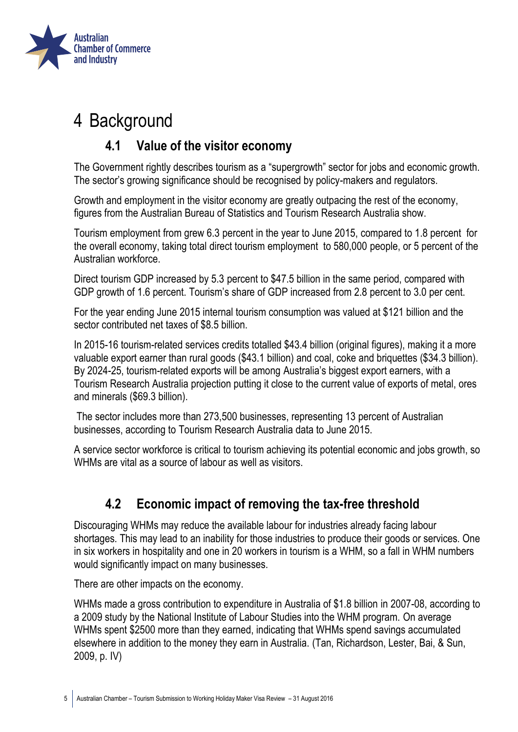

## <span id="page-4-1"></span><span id="page-4-0"></span>4 Background

## **4.1 Value of the visitor economy**

The Government rightly describes tourism as a "supergrowth" sector for jobs and economic growth. The sector's growing significance should be recognised by policy-makers and regulators.

Growth and employment in the visitor economy are greatly outpacing the rest of the economy, figures from the Australian Bureau of Statistics and Tourism Research Australia show.

Tourism employment from grew 6.3 percent in the year to June 2015, compared to 1.8 percent for the overall economy, taking total direct tourism employment to 580,000 people, or 5 percent of the Australian workforce.

Direct tourism GDP increased by 5.3 percent to \$47.5 billion in the same period, compared with GDP growth of 1.6 percent. Tourism's share of GDP increased from 2.8 percent to 3.0 per cent.

For the year ending June 2015 internal tourism consumption was valued at \$121 billion and the sector contributed net taxes of \$8.5 billion.

In 2015-16 tourism-related services credits totalled \$43.4 billion (original figures), making it a more valuable export earner than rural goods (\$43.1 billion) and coal, coke and briquettes (\$34.3 billion). By 2024-25, tourism-related exports will be among Australia's biggest export earners, with a Tourism Research Australia projection putting it close to the current value of exports of metal, ores and minerals (\$69.3 billion).

The sector includes more than 273,500 businesses, representing 13 percent of Australian businesses, according to Tourism Research Australia data to June 2015.

A service sector workforce is critical to tourism achieving its potential economic and jobs growth, so WHMs are vital as a source of labour as well as visitors.

## **4.2 Economic impact of removing the tax-free threshold**

<span id="page-4-2"></span>Discouraging WHMs may reduce the available labour for industries already facing labour shortages. This may lead to an inability for those industries to produce their goods or services. One in six workers in hospitality and one in 20 workers in tourism is a WHM, so a fall in WHM numbers would significantly impact on many businesses.

There are other impacts on the economy.

WHMs made a gross contribution to expenditure in Australia of \$1.8 billion in 2007-08, according to a 2009 study by the National Institute of Labour Studies into the WHM program. On average WHMs spent \$2500 more than they earned, indicating that WHMs spend savings accumulated elsewhere in addition to the money they earn in Australia. (Tan, Richardson, Lester, Bai, & Sun, 2009, p. IV)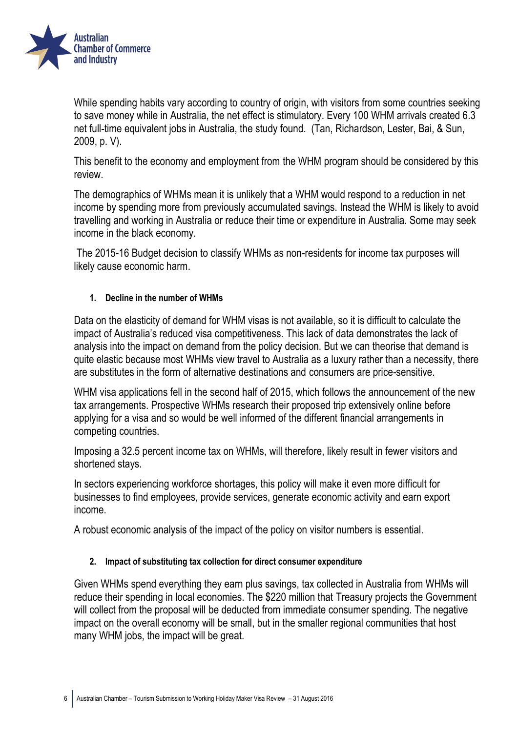

While spending habits vary according to country of origin, with visitors from some countries seeking to save money while in Australia, the net effect is stimulatory. Every 100 WHM arrivals created 6.3 net full-time equivalent jobs in Australia, the study found. (Tan, Richardson, Lester, Bai, & Sun, 2009, p. V).

This benefit to the economy and employment from the WHM program should be considered by this review.

The demographics of WHMs mean it is unlikely that a WHM would respond to a reduction in net income by spending more from previously accumulated savings. Instead the WHM is likely to avoid travelling and working in Australia or reduce their time or expenditure in Australia. Some may seek income in the black economy.

The 2015-16 Budget decision to classify WHMs as non-residents for income tax purposes will likely cause economic harm.

#### **1. Decline in the number of WHMs**

Data on the elasticity of demand for WHM visas is not available, so it is difficult to calculate the impact of Australia's reduced visa competitiveness. This lack of data demonstrates the lack of analysis into the impact on demand from the policy decision. But we can theorise that demand is quite elastic because most WHMs view travel to Australia as a luxury rather than a necessity, there are substitutes in the form of alternative destinations and consumers are price-sensitive.

WHM visa applications fell in the second half of 2015, which follows the announcement of the new tax arrangements. Prospective WHMs research their proposed trip extensively online before applying for a visa and so would be well informed of the different financial arrangements in competing countries.

Imposing a 32.5 percent income tax on WHMs, will therefore, likely result in fewer visitors and shortened stays.

In sectors experiencing workforce shortages, this policy will make it even more difficult for businesses to find employees, provide services, generate economic activity and earn export income.

A robust economic analysis of the impact of the policy on visitor numbers is essential.

#### **2. Impact of substituting tax collection for direct consumer expenditure**

Given WHMs spend everything they earn plus savings, tax collected in Australia from WHMs will reduce their spending in local economies. The \$220 million that Treasury projects the Government will collect from the proposal will be deducted from immediate consumer spending. The negative impact on the overall economy will be small, but in the smaller regional communities that host many WHM jobs, the impact will be great.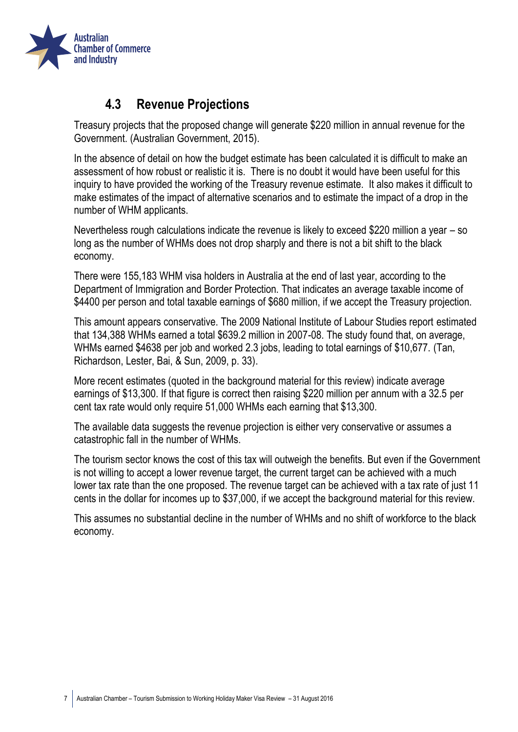

#### **4.3 Revenue Projections**

<span id="page-6-0"></span>Treasury projects that the proposed change will generate \$220 million in annual revenue for the Government. (Australian Government, 2015).

In the absence of detail on how the budget estimate has been calculated it is difficult to make an assessment of how robust or realistic it is. There is no doubt it would have been useful for this inquiry to have provided the working of the Treasury revenue estimate. It also makes it difficult to make estimates of the impact of alternative scenarios and to estimate the impact of a drop in the number of WHM applicants.

Nevertheless rough calculations indicate the revenue is likely to exceed \$220 million a year – so long as the number of WHMs does not drop sharply and there is not a bit shift to the black economy.

There were 155,183 WHM visa holders in Australia at the end of last year, according to the Department of Immigration and Border Protection. That indicates an average taxable income of \$4400 per person and total taxable earnings of \$680 million, if we accept the Treasury proiection.

This amount appears conservative. The 2009 National Institute of Labour Studies report estimated that 134,388 WHMs earned a total \$639.2 million in 2007-08. The study found that, on average, WHMs earned \$4638 per job and worked 2.3 jobs, leading to total earnings of \$10,677. (Tan, Richardson, Lester, Bai, & Sun, 2009, p. 33).

More recent estimates (quoted in the background material for this review) indicate average earnings of \$13,300. If that figure is correct then raising \$220 million per annum with a 32.5 per cent tax rate would only require 51,000 WHMs each earning that \$13,300.

The available data suggests the revenue projection is either very conservative or assumes a catastrophic fall in the number of WHMs.

The tourism sector knows the cost of this tax will outweigh the benefits. But even if the Government is not willing to accept a lower revenue target, the current target can be achieved with a much lower tax rate than the one proposed. The revenue target can be achieved with a tax rate of just 11 cents in the dollar for incomes up to \$37,000, if we accept the background material for this review.

This assumes no substantial decline in the number of WHMs and no shift of workforce to the black economy.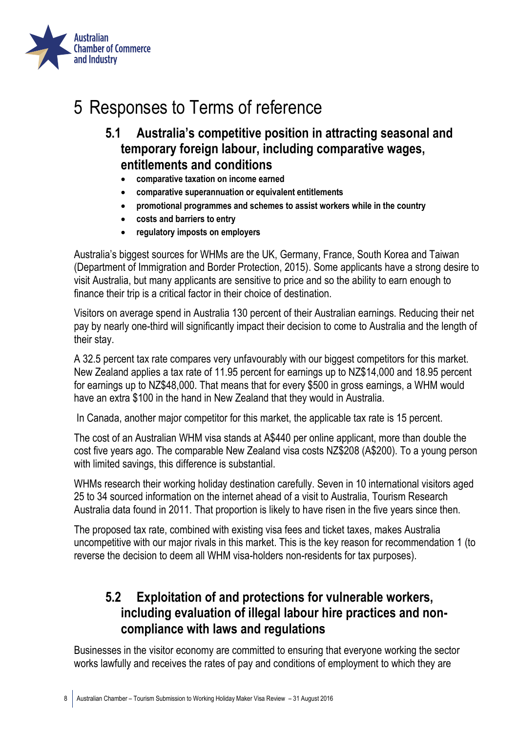

## <span id="page-7-1"></span><span id="page-7-0"></span>5 Responses to Terms of reference

- **5.1 Australia's competitive position in attracting seasonal and temporary foreign labour, including comparative wages, entitlements and conditions**
	- **comparative taxation on income earned**
	- **comparative superannuation or equivalent entitlements**
	- **promotional programmes and schemes to assist workers while in the country**
	- **costs and barriers to entry**
	- **regulatory imposts on employers**

Australia's biggest sources for WHMs are the UK, Germany, France, South Korea and Taiwan (Department of Immigration and Border Protection, 2015). Some applicants have a strong desire to visit Australia, but many applicants are sensitive to price and so the ability to earn enough to finance their trip is a critical factor in their choice of destination.

Visitors on average spend in Australia 130 percent of their Australian earnings. Reducing their net pay by nearly one-third will significantly impact their decision to come to Australia and the length of their stay.

A 32.5 percent tax rate compares very unfavourably with our biggest competitors for this market. New Zealand applies a tax rate of 11.95 percent for earnings up to NZ\$14,000 and 18.95 percent for earnings up to NZ\$48,000. That means that for every \$500 in gross earnings, a WHM would have an extra \$100 in the hand in New Zealand that they would in Australia.

In Canada, another major competitor for this market, the applicable tax rate is 15 percent.

The cost of an Australian WHM visa stands at A\$440 per online applicant, more than double the cost five years ago. The comparable New Zealand visa costs NZ\$208 (A\$200). To a young person with limited savings, this difference is substantial.

WHMs research their working holiday destination carefully. Seven in 10 international visitors aged 25 to 34 sourced information on the internet ahead of a visit to Australia, Tourism Research Australia data found in 2011. That proportion is likely to have risen in the five years since then.

The proposed tax rate, combined with existing visa fees and ticket taxes, makes Australia uncompetitive with our major rivals in this market. This is the key reason for recommendation 1 (to reverse the decision to deem all WHM visa-holders non-residents for tax purposes).

## <span id="page-7-2"></span>**5.2 Exploitation of and protections for vulnerable workers, including evaluation of illegal labour hire practices and noncompliance with laws and regulations**

Businesses in the visitor economy are committed to ensuring that everyone working the sector works lawfully and receives the rates of pay and conditions of employment to which they are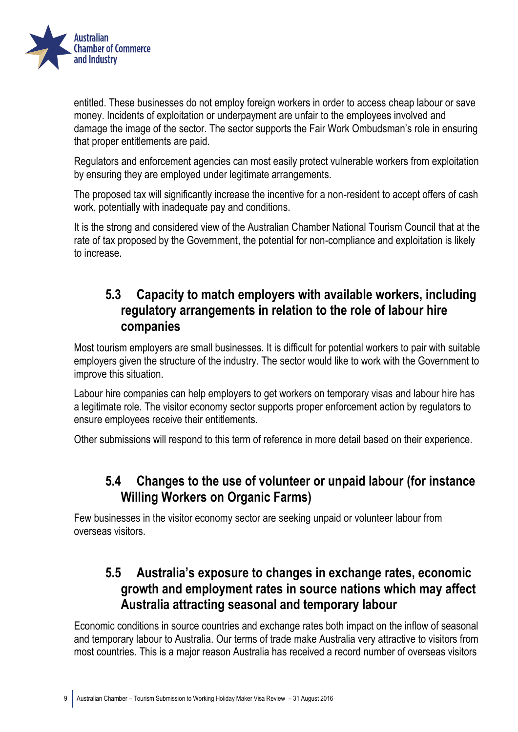

entitled. These businesses do not employ foreign workers in order to access cheap labour or save money. Incidents of exploitation or underpayment are unfair to the employees involved and damage the image of the sector. The sector supports the Fair Work Ombudsman's role in ensuring that proper entitlements are paid.

Regulators and enforcement agencies can most easily protect vulnerable workers from exploitation by ensuring they are employed under legitimate arrangements.

The proposed tax will significantly increase the incentive for a non-resident to accept offers of cash work, potentially with inadequate pay and conditions.

It is the strong and considered view of the Australian Chamber National Tourism Council that at the rate of tax proposed by the Government, the potential for non-compliance and exploitation is likely to increase.

## <span id="page-8-0"></span>**5.3 Capacity to match employers with available workers, including regulatory arrangements in relation to the role of labour hire companies**

Most tourism employers are small businesses. It is difficult for potential workers to pair with suitable employers given the structure of the industry. The sector would like to work with the Government to improve this situation.

Labour hire companies can help employers to get workers on temporary visas and labour hire has a legitimate role. The visitor economy sector supports proper enforcement action by regulators to ensure employees receive their entitlements.

<span id="page-8-1"></span>Other submissions will respond to this term of reference in more detail based on their experience.

## **5.4 Changes to the use of volunteer or unpaid labour (for instance Willing Workers on Organic Farms)**

Few businesses in the visitor economy sector are seeking unpaid or volunteer labour from overseas visitors.

## <span id="page-8-2"></span>**5.5 Australia's exposure to changes in exchange rates, economic growth and employment rates in source nations which may affect Australia attracting seasonal and temporary labour**

Economic conditions in source countries and exchange rates both impact on the inflow of seasonal and temporary labour to Australia. Our terms of trade make Australia very attractive to visitors from most countries. This is a major reason Australia has received a record number of overseas visitors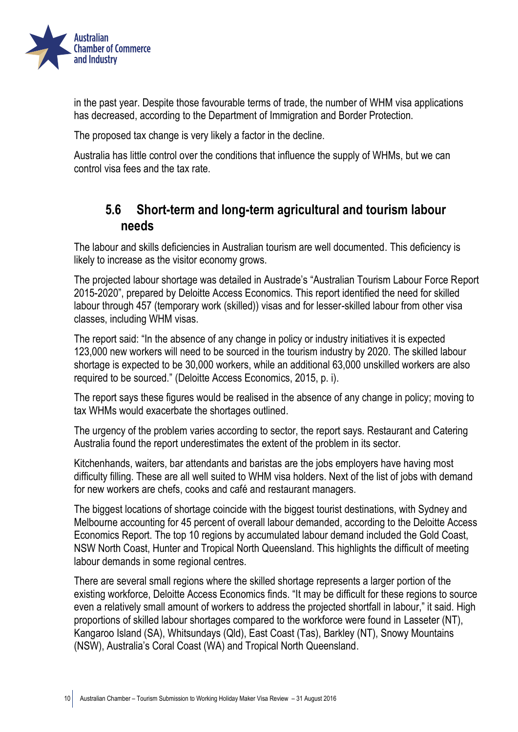

in the past year. Despite those favourable terms of trade, the number of WHM visa applications has decreased, according to the Department of Immigration and Border Protection.

The proposed tax change is very likely a factor in the decline.

Australia has little control over the conditions that influence the supply of WHMs, but we can control visa fees and the tax rate.

#### <span id="page-9-0"></span>**5.6 Short-term and long-term agricultural and tourism labour needs**

The labour and skills deficiencies in Australian tourism are well documented. This deficiency is likely to increase as the visitor economy grows.

The projected labour shortage was detailed in Austrade's "Australian Tourism Labour Force Report 2015-2020", prepared by Deloitte Access Economics. This report identified the need for skilled labour through 457 (temporary work (skilled)) visas and for lesser-skilled labour from other visa classes, including WHM visas.

The report said: "In the absence of any change in policy or industry initiatives it is expected 123,000 new workers will need to be sourced in the tourism industry by 2020. The skilled labour shortage is expected to be 30,000 workers, while an additional 63,000 unskilled workers are also required to be sourced." (Deloitte Access Economics, 2015, p. i).

The report says these figures would be realised in the absence of any change in policy; moving to tax WHMs would exacerbate the shortages outlined.

The urgency of the problem varies according to sector, the report says. Restaurant and Catering Australia found the report underestimates the extent of the problem in its sector.

Kitchenhands, waiters, bar attendants and baristas are the jobs employers have having most difficulty filling. These are all well suited to WHM visa holders. Next of the list of jobs with demand for new workers are chefs, cooks and café and restaurant managers.

The biggest locations of shortage coincide with the biggest tourist destinations, with Sydney and Melbourne accounting for 45 percent of overall labour demanded, according to the Deloitte Access Economics Report. The top 10 regions by accumulated labour demand included the Gold Coast, NSW North Coast, Hunter and Tropical North Queensland. This highlights the difficult of meeting labour demands in some regional centres.

There are several small regions where the skilled shortage represents a larger portion of the existing workforce, Deloitte Access Economics finds. "It may be difficult for these regions to source even a relatively small amount of workers to address the projected shortfall in labour," it said. High proportions of skilled labour shortages compared to the workforce were found in Lasseter (NT), Kangaroo Island (SA), Whitsundays (Qld), East Coast (Tas), Barkley (NT), Snowy Mountains (NSW), Australia's Coral Coast (WA) and Tropical North Queensland.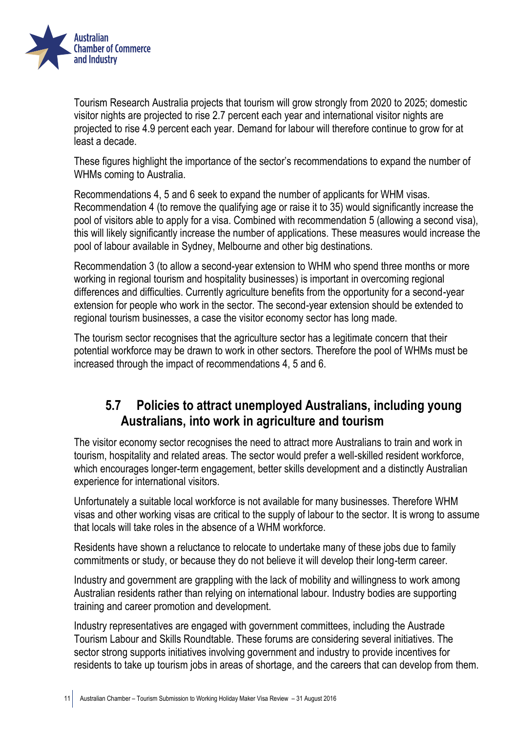

Tourism Research Australia projects that tourism will grow strongly from 2020 to 2025; domestic visitor nights are projected to rise 2.7 percent each year and international visitor nights are projected to rise 4.9 percent each year. Demand for labour will therefore continue to grow for at least a decade.

These figures highlight the importance of the sector's recommendations to expand the number of WHMs coming to Australia.

Recommendations 4, 5 and 6 seek to expand the number of applicants for WHM visas. Recommendation 4 (to remove the qualifying age or raise it to 35) would significantly increase the pool of visitors able to apply for a visa. Combined with recommendation 5 (allowing a second visa), this will likely significantly increase the number of applications. These measures would increase the pool of labour available in Sydney, Melbourne and other big destinations.

Recommendation 3 (to allow a second-year extension to WHM who spend three months or more working in regional tourism and hospitality businesses) is important in overcoming regional differences and difficulties. Currently agriculture benefits from the opportunity for a second-year extension for people who work in the sector. The second-year extension should be extended to regional tourism businesses, a case the visitor economy sector has long made.

The tourism sector recognises that the agriculture sector has a legitimate concern that their potential workforce may be drawn to work in other sectors. Therefore the pool of WHMs must be increased through the impact of recommendations 4, 5 and 6.

### <span id="page-10-0"></span>**5.7 Policies to attract unemployed Australians, including young Australians, into work in agriculture and tourism**

The visitor economy sector recognises the need to attract more Australians to train and work in tourism, hospitality and related areas. The sector would prefer a well-skilled resident workforce, which encourages longer-term engagement, better skills development and a distinctly Australian experience for international visitors.

Unfortunately a suitable local workforce is not available for many businesses. Therefore WHM visas and other working visas are critical to the supply of labour to the sector. It is wrong to assume that locals will take roles in the absence of a WHM workforce.

Residents have shown a reluctance to relocate to undertake many of these jobs due to family commitments or study, or because they do not believe it will develop their long-term career.

Industry and government are grappling with the lack of mobility and willingness to work among Australian residents rather than relying on international labour. Industry bodies are supporting training and career promotion and development.

Industry representatives are engaged with government committees, including the Austrade Tourism Labour and Skills Roundtable. These forums are considering several initiatives. The sector strong supports initiatives involving government and industry to provide incentives for residents to take up tourism jobs in areas of shortage, and the careers that can develop from them.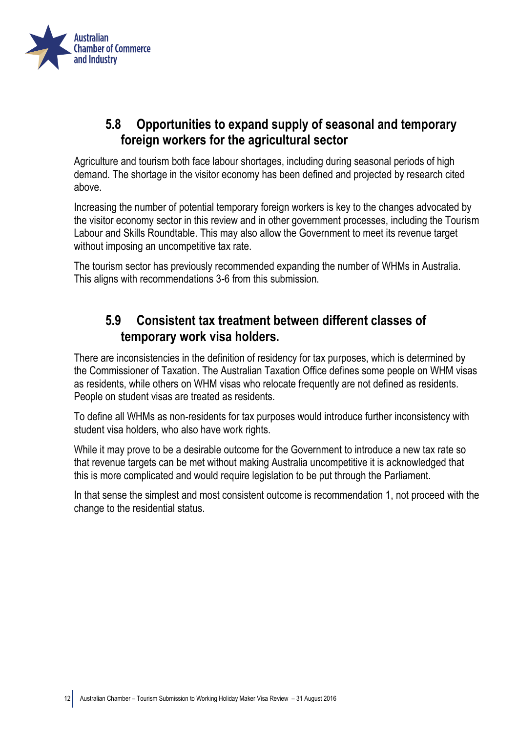

### <span id="page-11-0"></span>**5.8 Opportunities to expand supply of seasonal and temporary foreign workers for the agricultural sector**

Agriculture and tourism both face labour shortages, including during seasonal periods of high demand. The shortage in the visitor economy has been defined and projected by research cited above.

Increasing the number of potential temporary foreign workers is key to the changes advocated by the visitor economy sector in this review and in other government processes, including the Tourism Labour and Skills Roundtable. This may also allow the Government to meet its revenue target without imposing an uncompetitive tax rate.

The tourism sector has previously recommended expanding the number of WHMs in Australia. This aligns with recommendations 3-6 from this submission.

### <span id="page-11-1"></span>**5.9 Consistent tax treatment between different classes of temporary work visa holders.**

There are inconsistencies in the definition of residency for tax purposes, which is determined by the Commissioner of Taxation. The Australian Taxation Office defines some people on WHM visas as residents, while others on WHM visas who relocate frequently are not defined as residents. People on student visas are treated as residents.

To define all WHMs as non-residents for tax purposes would introduce further inconsistency with student visa holders, who also have work rights.

While it may prove to be a desirable outcome for the Government to introduce a new tax rate so that revenue targets can be met without making Australia uncompetitive it is acknowledged that this is more complicated and would require legislation to be put through the Parliament.

In that sense the simplest and most consistent outcome is recommendation 1, not proceed with the change to the residential status.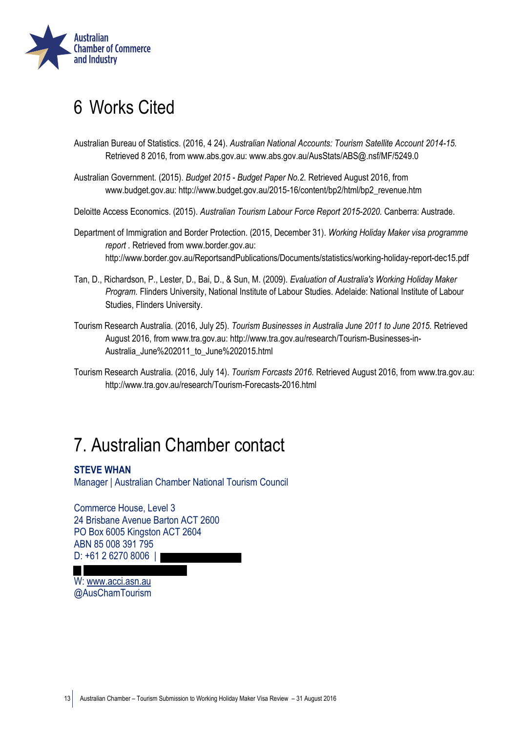

## <span id="page-12-0"></span>6 Works Cited

- Australian Bureau of Statistics. (2016, 4 24). *Australian National Accounts: Tourism Satellite Account 2014-15.* Retrieved 8 2016, from www.abs.gov.au: www.abs.gov.au/AusStats/ABS@.nsf/MF/5249.0
- Australian Government. (2015). *Budget 2015 Budget Paper No.2.* Retrieved August 2016, from www.budget.gov.au: http://www.budget.gov.au/2015-16/content/bp2/html/bp2\_revenue.htm
- Deloitte Access Economics. (2015). *Australian Tourism Labour Force Report 2015-2020.* Canberra: Austrade.
- Department of Immigration and Border Protection. (2015, December 31). *Working Holiday Maker visa programme report .* Retrieved from www.border.gov.au: http://www.border.gov.au/ReportsandPublications/Documents/statistics/working-holiday-report-dec15.pdf
- Tan, D., Richardson, P., Lester, D., Bai, D., & Sun, M. (2009). *Evaluation of Australia's Working Holiday Maker Program.* Flinders University, National Institute of Labour Studies. Adelaide: National Institute of Labour Studies, Flinders University.
- Tourism Research Australia. (2016, July 25). *Tourism Businesses in Australia June 2011 to June 2015.* Retrieved August 2016, from www.tra.gov.au: http://www.tra.gov.au/research/Tourism-Businesses-in-Australia\_June%202011\_to\_June%202015.html
- Tourism Research Australia. (2016, July 14). *Tourism Forcasts 2016.* Retrieved August 2016, from www.tra.gov.au: http://www.tra.gov.au/research/Tourism-Forecasts-2016.html

## <span id="page-12-1"></span>7. Australian Chamber contact

#### **STEVE WHAN**

Manager | Australian Chamber National Tourism Council

Commerce House, Level 3 24 Brisbane Avenue Barton ACT 2600 PO Box 6005 Kingston ACT 2604 ABN 85 008 391 795 D: +61 2 6270 8006 |

W: [www.acci.asn.au](file://///ACCSRV01/Corp/ACCI%202015%20TEMPLATES/Submissions/www.acci.asn.au) @AusChamTourism